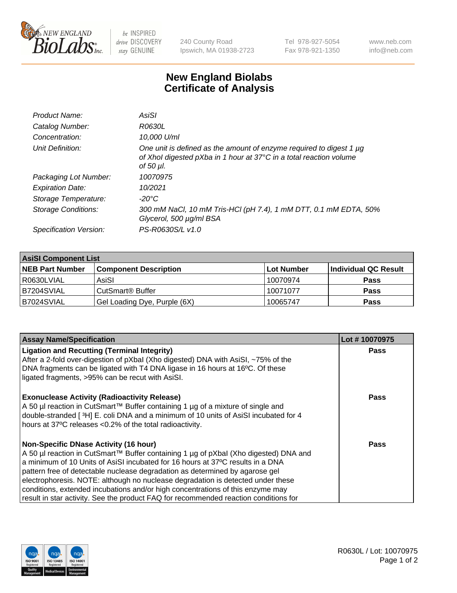

 $be$  INSPIRED drive DISCOVERY stay GENUINE

240 County Road Ipswich, MA 01938-2723 Tel 978-927-5054 Fax 978-921-1350 www.neb.com info@neb.com

## **New England Biolabs Certificate of Analysis**

| Product Name:              | AsiSI                                                                                                                                                  |
|----------------------------|--------------------------------------------------------------------------------------------------------------------------------------------------------|
| Catalog Number:            | R0630L                                                                                                                                                 |
| Concentration:             | 10,000 U/ml                                                                                                                                            |
| Unit Definition:           | One unit is defined as the amount of enzyme required to digest 1 µg<br>of Xhol digested pXba in 1 hour at 37°C in a total reaction volume<br>of 50 µl. |
| Packaging Lot Number:      | 10070975                                                                                                                                               |
| <b>Expiration Date:</b>    | 10/2021                                                                                                                                                |
| Storage Temperature:       | -20°C                                                                                                                                                  |
| <b>Storage Conditions:</b> | 300 mM NaCl, 10 mM Tris-HCl (pH 7.4), 1 mM DTT, 0.1 mM EDTA, 50%<br>Glycerol, 500 µg/ml BSA                                                            |
| Specification Version:     | PS-R0630S/L v1.0                                                                                                                                       |

| <b>AsiSI Component List</b> |                              |             |                      |  |  |
|-----------------------------|------------------------------|-------------|----------------------|--|--|
| <b>NEB Part Number</b>      | <b>Component Description</b> | ∣Lot Number | Individual QC Result |  |  |
| R0630LVIAL                  | AsiSI                        | 10070974    | <b>Pass</b>          |  |  |
| B7204SVIAL                  | CutSmart® Buffer             | 10071077    | <b>Pass</b>          |  |  |
| B7024SVIAL                  | Gel Loading Dye, Purple (6X) | 10065747    | <b>Pass</b>          |  |  |

| <b>Assay Name/Specification</b>                                                      | Lot #10070975 |
|--------------------------------------------------------------------------------------|---------------|
| <b>Ligation and Recutting (Terminal Integrity)</b>                                   | <b>Pass</b>   |
| After a 2-fold over-digestion of pXbal (Xho digested) DNA with AsiSI, ~75% of the    |               |
| DNA fragments can be ligated with T4 DNA ligase in 16 hours at 16°C. Of these        |               |
| ligated fragments, >95% can be recut with AsiSI.                                     |               |
| <b>Exonuclease Activity (Radioactivity Release)</b>                                  | Pass          |
| A 50 µl reaction in CutSmart™ Buffer containing 1 µg of a mixture of single and      |               |
| double-stranded [3H] E. coli DNA and a minimum of 10 units of AsiSI incubated for 4  |               |
| hours at 37°C releases <0.2% of the total radioactivity.                             |               |
| <b>Non-Specific DNase Activity (16 hour)</b>                                         | Pass          |
| A 50 µl reaction in CutSmart™ Buffer containing 1 µg of pXbal (Xho digested) DNA and |               |
| a minimum of 10 Units of AsiSI incubated for 16 hours at 37°C results in a DNA       |               |
| pattern free of detectable nuclease degradation as determined by agarose gel         |               |
| electrophoresis. NOTE: although no nuclease degradation is detected under these      |               |
| conditions, extended incubations and/or high concentrations of this enzyme may       |               |
| result in star activity. See the product FAQ for recommended reaction conditions for |               |